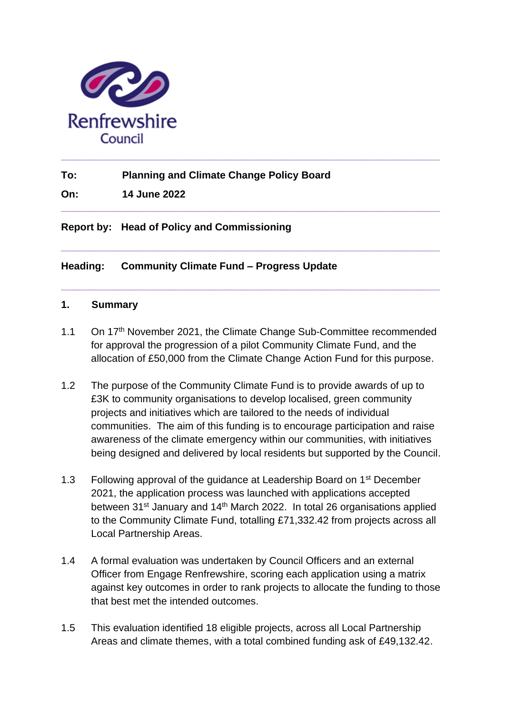

**To: Planning and Climate Change Policy Board**

**On: 14 June 2022**

**Report by: Head of Policy and Commissioning**

**Heading: Community Climate Fund – Progress Update**

### **1. Summary**

1.1 On 17<sup>th</sup> November 2021, the Climate Change Sub-Committee recommended for approval the progression of a pilot Community Climate Fund, and the allocation of £50,000 from the Climate Change Action Fund for this purpose.

**\_\_\_\_\_\_\_\_\_\_\_\_\_\_\_\_\_\_\_\_\_\_\_\_\_\_\_\_\_\_\_\_\_\_\_\_\_\_\_\_\_\_\_\_\_\_\_\_\_\_\_\_\_\_\_\_\_\_\_\_\_\_\_\_\_\_\_**

**\_\_\_\_\_\_\_\_\_\_\_\_\_\_\_\_\_\_\_\_\_\_\_\_\_\_\_\_\_\_\_\_\_\_\_\_\_\_\_\_\_\_\_\_\_\_\_\_\_\_\_\_\_\_\_\_\_\_\_\_\_\_\_\_\_\_\_**

**\_\_\_\_\_\_\_\_\_\_\_\_\_\_\_\_\_\_\_\_\_\_\_\_\_\_\_\_\_\_\_\_\_\_\_\_\_\_\_\_\_\_\_\_\_\_\_\_\_\_\_\_\_\_\_\_\_\_\_\_\_\_\_\_\_\_\_**

**\_\_\_\_\_\_\_\_\_\_\_\_\_\_\_\_\_\_\_\_\_\_\_\_\_\_\_\_\_\_\_\_\_\_\_\_\_\_\_\_\_\_\_\_\_\_\_\_\_\_\_\_\_\_\_\_\_\_\_\_\_\_\_\_\_\_\_** 

- 1.2 The purpose of the Community Climate Fund is to provide awards of up to £3K to community organisations to develop localised, green community projects and initiatives which are tailored to the needs of individual communities. The aim of this funding is to encourage participation and raise awareness of the climate emergency within our communities, with initiatives being designed and delivered by local residents but supported by the Council.
- 1.3 Following approval of the guidance at Leadership Board on 1<sup>st</sup> December 2021, the application process was launched with applications accepted between 31<sup>st</sup> January and 14<sup>th</sup> March 2022. In total 26 organisations applied to the Community Climate Fund, totalling £71,332.42 from projects across all Local Partnership Areas.
- 1.4 A formal evaluation was undertaken by Council Officers and an external Officer from Engage Renfrewshire, scoring each application using a matrix against key outcomes in order to rank projects to allocate the funding to those that best met the intended outcomes.
- 1.5 This evaluation identified 18 eligible projects, across all Local Partnership Areas and climate themes, with a total combined funding ask of £49,132.42.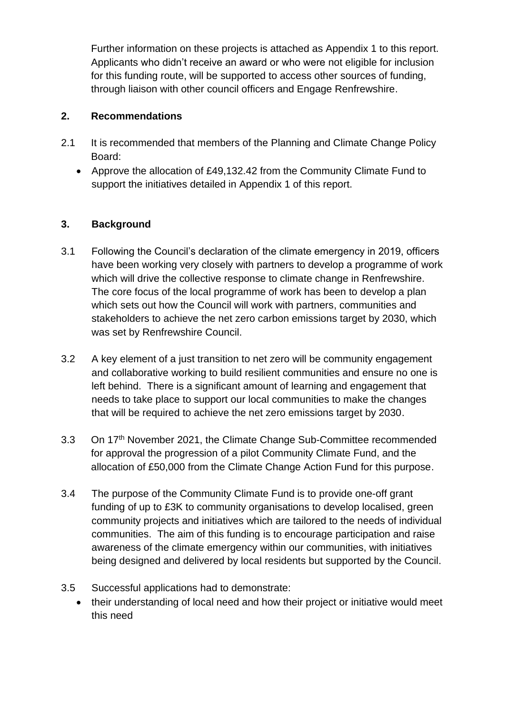Further information on these projects is attached as Appendix 1 to this report. Applicants who didn't receive an award or who were not eligible for inclusion for this funding route, will be supported to access other sources of funding, through liaison with other council officers and Engage Renfrewshire.

### **2. Recommendations**

- 2.1 It is recommended that members of the Planning and Climate Change Policy Board:
	- Approve the allocation of £49,132.42 from the Community Climate Fund to support the initiatives detailed in Appendix 1 of this report.

## **3. Background**

- 3.1 Following the Council's declaration of the climate emergency in 2019, officers have been working very closely with partners to develop a programme of work which will drive the collective response to climate change in Renfrewshire. The core focus of the local programme of work has been to develop a plan which sets out how the Council will work with partners, communities and stakeholders to achieve the net zero carbon emissions target by 2030, which was set by Renfrewshire Council.
- 3.2 A key element of a just transition to net zero will be community engagement and collaborative working to build resilient communities and ensure no one is left behind. There is a significant amount of learning and engagement that needs to take place to support our local communities to make the changes that will be required to achieve the net zero emissions target by 2030.
- 3.3 On 17th November 2021, the Climate Change Sub-Committee recommended for approval the progression of a pilot Community Climate Fund, and the allocation of £50,000 from the Climate Change Action Fund for this purpose.
- 3.4 The purpose of the Community Climate Fund is to provide one-off grant funding of up to £3K to community organisations to develop localised, green community projects and initiatives which are tailored to the needs of individual communities. The aim of this funding is to encourage participation and raise awareness of the climate emergency within our communities, with initiatives being designed and delivered by local residents but supported by the Council.
- 3.5 Successful applications had to demonstrate:
	- their understanding of local need and how their project or initiative would meet this need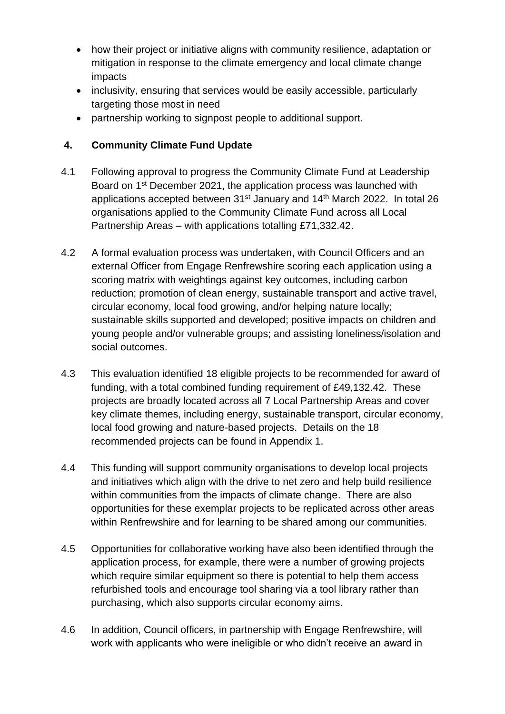- how their project or initiative aligns with community resilience, adaptation or mitigation in response to the climate emergency and local climate change impacts
- inclusivity, ensuring that services would be easily accessible, particularly targeting those most in need
- partnership working to signpost people to additional support.

## **4. Community Climate Fund Update**

- 4.1 Following approval to progress the Community Climate Fund at Leadership Board on 1<sup>st</sup> December 2021, the application process was launched with applications accepted between  $31^{st}$  January and  $14^{th}$  March 2022. In total 26 organisations applied to the Community Climate Fund across all Local Partnership Areas – with applications totalling £71,332.42.
- 4.2 A formal evaluation process was undertaken, with Council Officers and an external Officer from Engage Renfrewshire scoring each application using a scoring matrix with weightings against key outcomes, including carbon reduction; promotion of clean energy, sustainable transport and active travel, circular economy, local food growing, and/or helping nature locally; sustainable skills supported and developed; positive impacts on children and young people and/or vulnerable groups; and assisting loneliness/isolation and social outcomes.
- 4.3 This evaluation identified 18 eligible projects to be recommended for award of funding, with a total combined funding requirement of £49,132.42. These projects are broadly located across all 7 Local Partnership Areas and cover key climate themes, including energy, sustainable transport, circular economy, local food growing and nature-based projects. Details on the 18 recommended projects can be found in Appendix 1.
- 4.4 This funding will support community organisations to develop local projects and initiatives which align with the drive to net zero and help build resilience within communities from the impacts of climate change. There are also opportunities for these exemplar projects to be replicated across other areas within Renfrewshire and for learning to be shared among our communities.
- 4.5 Opportunities for collaborative working have also been identified through the application process, for example, there were a number of growing projects which require similar equipment so there is potential to help them access refurbished tools and encourage tool sharing via a tool library rather than purchasing, which also supports circular economy aims.
- 4.6 In addition, Council officers, in partnership with Engage Renfrewshire, will work with applicants who were ineligible or who didn't receive an award in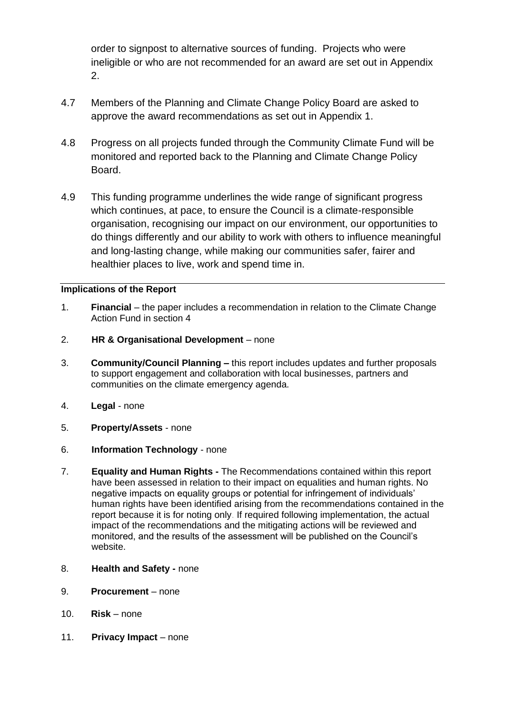order to signpost to alternative sources of funding. Projects who were ineligible or who are not recommended for an award are set out in Appendix 2.

- 4.7 Members of the Planning and Climate Change Policy Board are asked to approve the award recommendations as set out in Appendix 1.
- 4.8 Progress on all projects funded through the Community Climate Fund will be monitored and reported back to the Planning and Climate Change Policy Board.
- 4.9 This funding programme underlines the wide range of significant progress which continues, at pace, to ensure the Council is a climate-responsible organisation, recognising our impact on our environment, our opportunities to do things differently and our ability to work with others to influence meaningful and long-lasting change, while making our communities safer, fairer and healthier places to live, work and spend time in.

#### **Implications of the Report**

- 1. **Financial**  the paper includes a recommendation in relation to the Climate Change Action Fund in section 4
- 2. **HR & Organisational Development**  none
- 3. **Community/Council Planning –** this report includes updates and further proposals to support engagement and collaboration with local businesses, partners and communities on the climate emergency agenda.
- 4. **Legal**  none
- 5. **Property/Assets**  none
- 6. **Information Technology**  none
- 7. **Equality and Human Rights -** The Recommendations contained within this report have been assessed in relation to their impact on equalities and human rights. No negative impacts on equality groups or potential for infringement of individuals' human rights have been identified arising from the recommendations contained in the report because it is for noting only. If required following implementation, the actual impact of the recommendations and the mitigating actions will be reviewed and monitored, and the results of the assessment will be published on the Council's website.
- 8. **Health and Safety -** none
- 9. **Procurement**  none
- 10. **Risk**  none
- 11. **Privacy Impact**  none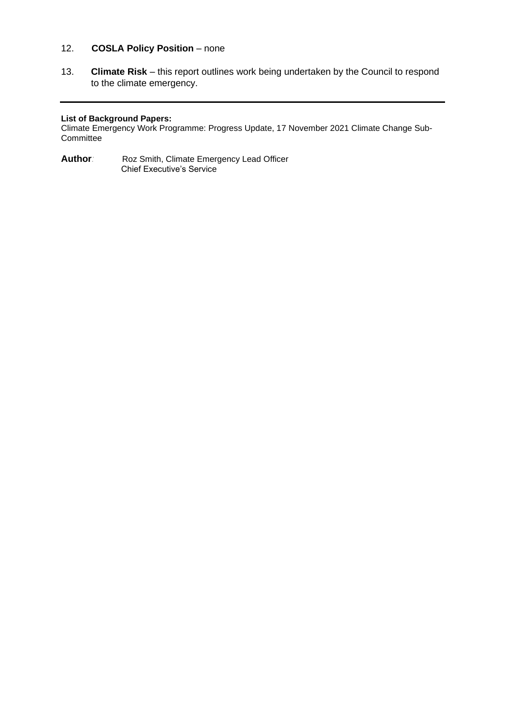#### 12. **COSLA Policy Position** – none

13. **Climate Risk** – this report outlines work being undertaken by the Council to respond to the climate emergency.

#### **List of Background Papers:**

Climate Emergency Work Programme: Progress Update, 17 November 2021 Climate Change Sub-**Committee** 

**Author***:* Roz Smith, Climate Emergency Lead Officer Chief Executive's Service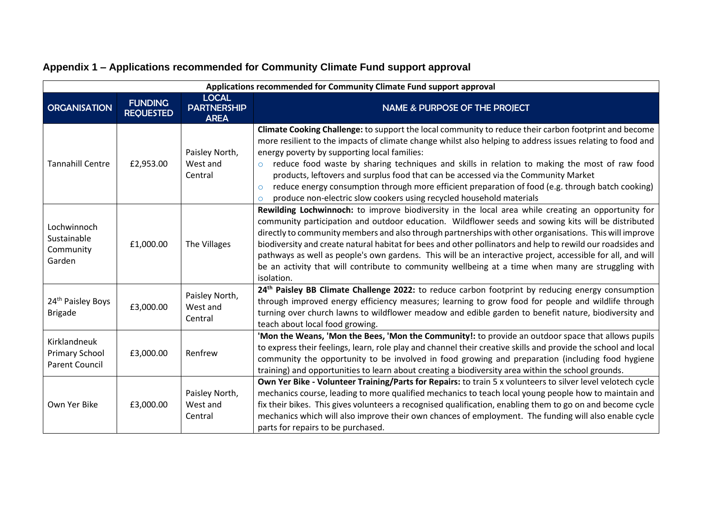| Applications recommended for Community Climate Fund support approval |                                    |                                                   |                                                                                                                                                                                                                                                                                                                                                                                                                                                                                                                                                                                                                                                                          |
|----------------------------------------------------------------------|------------------------------------|---------------------------------------------------|--------------------------------------------------------------------------------------------------------------------------------------------------------------------------------------------------------------------------------------------------------------------------------------------------------------------------------------------------------------------------------------------------------------------------------------------------------------------------------------------------------------------------------------------------------------------------------------------------------------------------------------------------------------------------|
| <b>ORGANISATION</b>                                                  | <b>FUNDING</b><br><b>REQUESTED</b> | <b>LOCAL</b><br><b>PARTNERSHIP</b><br><b>AREA</b> | <b>NAME &amp; PURPOSE OF THE PROJECT</b>                                                                                                                                                                                                                                                                                                                                                                                                                                                                                                                                                                                                                                 |
| <b>Tannahill Centre</b>                                              | £2,953.00                          | Paisley North,<br>West and<br>Central             | Climate Cooking Challenge: to support the local community to reduce their carbon footprint and become<br>more resilient to the impacts of climate change whilst also helping to address issues relating to food and<br>energy poverty by supporting local families:<br>reduce food waste by sharing techniques and skills in relation to making the most of raw food<br>$\circ$<br>products, leftovers and surplus food that can be accessed via the Community Market<br>reduce energy consumption through more efficient preparation of food (e.g. through batch cooking)<br>$\circ$<br>produce non-electric slow cookers using recycled household materials<br>$\circ$ |
| Lochwinnoch<br>Sustainable<br>Community<br>Garden                    | £1,000.00                          | The Villages                                      | Rewilding Lochwinnoch: to improve biodiversity in the local area while creating an opportunity for<br>community participation and outdoor education. Wildflower seeds and sowing kits will be distributed<br>directly to community members and also through partnerships with other organisations. This will improve<br>biodiversity and create natural habitat for bees and other pollinators and help to rewild our roadsides and<br>pathways as well as people's own gardens. This will be an interactive project, accessible for all, and will<br>be an activity that will contribute to community wellbeing at a time when many are struggling with<br>isolation.   |
| 24 <sup>th</sup> Paisley Boys<br><b>Brigade</b>                      | £3,000.00                          | Paisley North,<br>West and<br>Central             | 24 <sup>th</sup> Paisley BB Climate Challenge 2022: to reduce carbon footprint by reducing energy consumption<br>through improved energy efficiency measures; learning to grow food for people and wildlife through<br>turning over church lawns to wildflower meadow and edible garden to benefit nature, biodiversity and<br>teach about local food growing.                                                                                                                                                                                                                                                                                                           |
| Kirklandneuk<br><b>Primary School</b><br><b>Parent Council</b>       | £3,000.00                          | Renfrew                                           | 'Mon the Weans, 'Mon the Bees, 'Mon the Community!: to provide an outdoor space that allows pupils<br>to express their feelings, learn, role play and channel their creative skills and provide the school and local<br>community the opportunity to be involved in food growing and preparation (including food hygiene<br>training) and opportunities to learn about creating a biodiversity area within the school grounds.                                                                                                                                                                                                                                           |
| Own Yer Bike                                                         | £3,000.00                          | Paisley North,<br>West and<br>Central             | Own Yer Bike - Volunteer Training/Parts for Repairs: to train 5 x volunteers to silver level velotech cycle<br>mechanics course, leading to more qualified mechanics to teach local young people how to maintain and<br>fix their bikes. This gives volunteers a recognised qualification, enabling them to go on and become cycle<br>mechanics which will also improve their own chances of employment. The funding will also enable cycle<br>parts for repairs to be purchased.                                                                                                                                                                                        |

# **Appendix 1 – Applications recommended for Community Climate Fund support approval**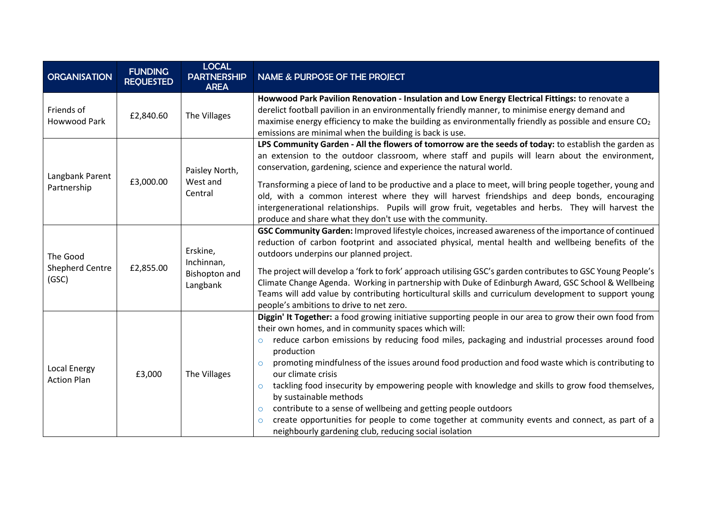| <b>ORGANISATION</b>                  | <b>FUNDING</b><br><b>REQUESTED</b> | <b>LOCAL</b><br><b>PARTNERSHIP</b><br><b>AREA</b>   | NAME & PURPOSE OF THE PROJECT                                                                                                                                                                                                                                                                                                                                                |  |
|--------------------------------------|------------------------------------|-----------------------------------------------------|------------------------------------------------------------------------------------------------------------------------------------------------------------------------------------------------------------------------------------------------------------------------------------------------------------------------------------------------------------------------------|--|
| Friends of<br><b>Howwood Park</b>    | £2,840.60                          | The Villages                                        | Howwood Park Pavilion Renovation - Insulation and Low Energy Electrical Fittings: to renovate a<br>derelict football pavilion in an environmentally friendly manner, to minimise energy demand and<br>maximise energy efficiency to make the building as environmentally friendly as possible and ensure $CO2$<br>emissions are minimal when the building is back is use.    |  |
| Langbank Parent<br>Partnership       | £3,000.00                          | Paisley North,<br>West and<br>Central               | LPS Community Garden - All the flowers of tomorrow are the seeds of today: to establish the garden as<br>an extension to the outdoor classroom, where staff and pupils will learn about the environment,<br>conservation, gardening, science and experience the natural world.                                                                                               |  |
|                                      |                                    |                                                     | Transforming a piece of land to be productive and a place to meet, will bring people together, young and<br>old, with a common interest where they will harvest friendships and deep bonds, encouraging<br>intergenerational relationships. Pupils will grow fruit, vegetables and herbs. They will harvest the<br>produce and share what they don't use with the community. |  |
| The Good<br>Shepherd Centre<br>(GSC) | £2,855.00                          | Erskine,<br>Inchinnan,<br>Bishopton and<br>Langbank | GSC Community Garden: Improved lifestyle choices, increased awareness of the importance of continued<br>reduction of carbon footprint and associated physical, mental health and wellbeing benefits of the<br>outdoors underpins our planned project.                                                                                                                        |  |
|                                      |                                    |                                                     | The project will develop a 'fork to fork' approach utilising GSC's garden contributes to GSC Young People's<br>Climate Change Agenda. Working in partnership with Duke of Edinburgh Award, GSC School & Wellbeing<br>Teams will add value by contributing horticultural skills and curriculum development to support young<br>people's ambitions to drive to net zero.       |  |
|                                      | £3,000                             | The Villages                                        | Diggin' It Together: a food growing initiative supporting people in our area to grow their own food from<br>their own homes, and in community spaces which will:<br>reduce carbon emissions by reducing food miles, packaging and industrial processes around food<br>$\circ$                                                                                                |  |
| Local Energy<br><b>Action Plan</b>   |                                    |                                                     | production<br>promoting mindfulness of the issues around food production and food waste which is contributing to<br>$\circ$<br>our climate crisis<br>tackling food insecurity by empowering people with knowledge and skills to grow food themselves,<br>$\circ$                                                                                                             |  |
|                                      |                                    |                                                     | by sustainable methods<br>contribute to a sense of wellbeing and getting people outdoors<br>$\circ$<br>create opportunities for people to come together at community events and connect, as part of a<br>$\circ$<br>neighbourly gardening club, reducing social isolation                                                                                                    |  |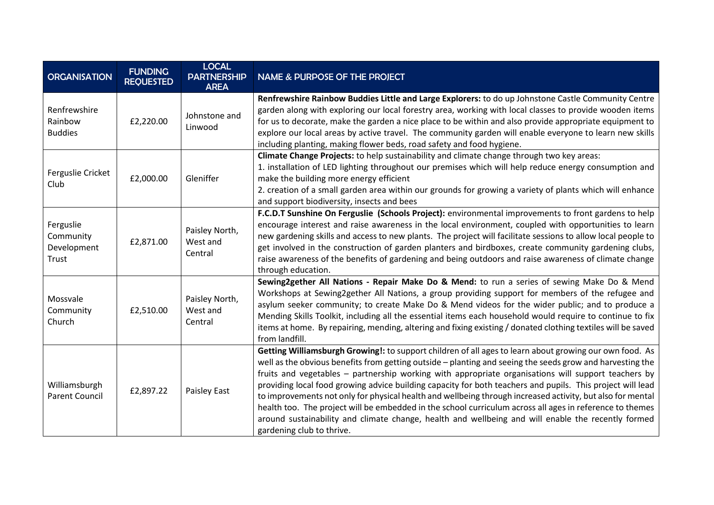| <b>ORGANISATION</b>                            | <b>FUNDING</b><br><b>REQUESTED</b> | <b>LOCAL</b><br><b>PARTNERSHIP</b><br><b>AREA</b> | <b>NAME &amp; PURPOSE OF THE PROJECT</b>                                                                                                                                                                                                                                                                                                                                                                                                                                                                                                                                                                                                                                                                                                                                                               |
|------------------------------------------------|------------------------------------|---------------------------------------------------|--------------------------------------------------------------------------------------------------------------------------------------------------------------------------------------------------------------------------------------------------------------------------------------------------------------------------------------------------------------------------------------------------------------------------------------------------------------------------------------------------------------------------------------------------------------------------------------------------------------------------------------------------------------------------------------------------------------------------------------------------------------------------------------------------------|
| Renfrewshire<br>Rainbow<br><b>Buddies</b>      | £2,220.00                          | Johnstone and<br>Linwood                          | Renfrewshire Rainbow Buddies Little and Large Explorers: to do up Johnstone Castle Community Centre<br>garden along with exploring our local forestry area, working with local classes to provide wooden items<br>for us to decorate, make the garden a nice place to be within and also provide appropriate equipment to<br>explore our local areas by active travel. The community garden will enable everyone to learn new skills<br>including planting, making flower beds, road safety and food hygiene.                                                                                                                                                                                                                                                                                          |
| Ferguslie Cricket<br>Club                      | £2,000.00                          | Gleniffer                                         | Climate Change Projects: to help sustainability and climate change through two key areas:<br>1. installation of LED lighting throughout our premises which will help reduce energy consumption and<br>make the building more energy efficient<br>2. creation of a small garden area within our grounds for growing a variety of plants which will enhance<br>and support biodiversity, insects and bees                                                                                                                                                                                                                                                                                                                                                                                                |
| Ferguslie<br>Community<br>Development<br>Trust | £2,871.00                          | Paisley North,<br>West and<br>Central             | F.C.D.T Sunshine On Ferguslie (Schools Project): environmental improvements to front gardens to help<br>encourage interest and raise awareness in the local environment, coupled with opportunities to learn<br>new gardening skills and access to new plants. The project will facilitate sessions to allow local people to<br>get involved in the construction of garden planters and birdboxes, create community gardening clubs,<br>raise awareness of the benefits of gardening and being outdoors and raise awareness of climate change<br>through education.                                                                                                                                                                                                                                    |
| Mossvale<br>Community<br>Church                | £2,510.00                          | Paisley North,<br>West and<br>Central             | Sewing2gether All Nations - Repair Make Do & Mend: to run a series of sewing Make Do & Mend<br>Workshops at Sewing2gether All Nations, a group providing support for members of the refugee and<br>asylum seeker community; to create Make Do & Mend videos for the wider public; and to produce a<br>Mending Skills Toolkit, including all the essential items each household would require to continue to fix<br>items at home. By repairing, mending, altering and fixing existing / donated clothing textiles will be saved<br>from landfill.                                                                                                                                                                                                                                                      |
| Williamsburgh<br><b>Parent Council</b>         | £2,897.22                          | Paisley East                                      | Getting Williamsburgh Growing!: to support children of all ages to learn about growing our own food. As<br>well as the obvious benefits from getting outside - planting and seeing the seeds grow and harvesting the<br>fruits and vegetables - partnership working with appropriate organisations will support teachers by<br>providing local food growing advice building capacity for both teachers and pupils. This project will lead<br>to improvements not only for physical health and wellbeing through increased activity, but also for mental<br>health too. The project will be embedded in the school curriculum across all ages in reference to themes<br>around sustainability and climate change, health and wellbeing and will enable the recently formed<br>gardening club to thrive. |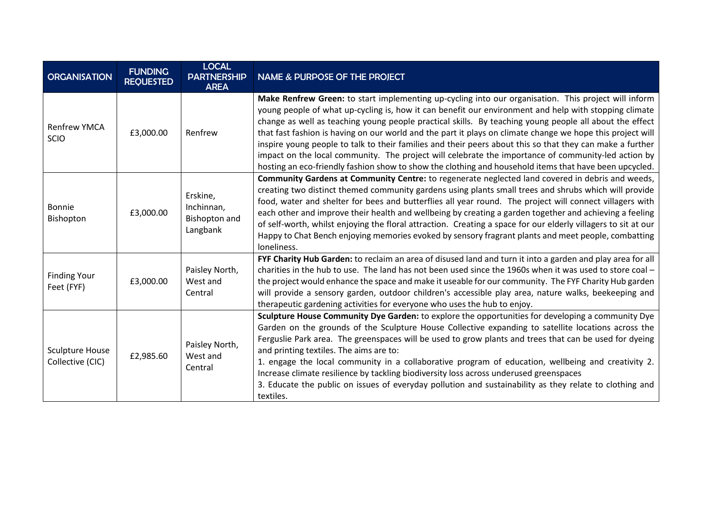| <b>ORGANISATION</b>                 | <b>FUNDING</b><br><b>REQUESTED</b> | <b>LOCAL</b><br><b>PARTNERSHIP</b><br><b>AREA</b>          | <b>NAME &amp; PURPOSE OF THE PROJECT</b>                                                                                                                                                                                                                                                                                                                                                                                                                                                                                                                                                                                                                                                                                                                             |
|-------------------------------------|------------------------------------|------------------------------------------------------------|----------------------------------------------------------------------------------------------------------------------------------------------------------------------------------------------------------------------------------------------------------------------------------------------------------------------------------------------------------------------------------------------------------------------------------------------------------------------------------------------------------------------------------------------------------------------------------------------------------------------------------------------------------------------------------------------------------------------------------------------------------------------|
| <b>Renfrew YMCA</b><br><b>SCIO</b>  | £3,000.00                          | Renfrew                                                    | Make Renfrew Green: to start implementing up-cycling into our organisation. This project will inform<br>young people of what up-cycling is, how it can benefit our environment and help with stopping climate<br>change as well as teaching young people practical skills. By teaching young people all about the effect<br>that fast fashion is having on our world and the part it plays on climate change we hope this project will<br>inspire young people to talk to their families and their peers about this so that they can make a further<br>impact on the local community. The project will celebrate the importance of community-led action by<br>hosting an eco-friendly fashion show to show the clothing and household items that have been upcycled. |
| Bonnie<br>Bishopton                 | £3,000.00                          | Erskine,<br>Inchinnan,<br><b>Bishopton and</b><br>Langbank | Community Gardens at Community Centre: to regenerate neglected land covered in debris and weeds,<br>creating two distinct themed community gardens using plants small trees and shrubs which will provide<br>food, water and shelter for bees and butterflies all year round. The project will connect villagers with<br>each other and improve their health and wellbeing by creating a garden together and achieving a feeling<br>of self-worth, whilst enjoying the floral attraction. Creating a space for our elderly villagers to sit at our<br>Happy to Chat Bench enjoying memories evoked by sensory fragrant plants and meet people, combatting<br>loneliness.                                                                                             |
| <b>Finding Your</b><br>Feet (FYF)   | £3,000.00                          | Paisley North,<br>West and<br>Central                      | FYF Charity Hub Garden: to reclaim an area of disused land and turn it into a garden and play area for all<br>charities in the hub to use. The land has not been used since the 1960s when it was used to store coal $-$<br>the project would enhance the space and make it useable for our community. The FYF Charity Hub garden<br>will provide a sensory garden, outdoor children's accessible play area, nature walks, beekeeping and<br>therapeutic gardening activities for everyone who uses the hub to enjoy.                                                                                                                                                                                                                                                |
| Sculpture House<br>Collective (CIC) | £2,985.60                          | Paisley North,<br>West and<br>Central                      | Sculpture House Community Dye Garden: to explore the opportunities for developing a community Dye<br>Garden on the grounds of the Sculpture House Collective expanding to satellite locations across the<br>Ferguslie Park area. The greenspaces will be used to grow plants and trees that can be used for dyeing<br>and printing textiles. The aims are to:<br>1. engage the local community in a collaborative program of education, wellbeing and creativity 2.<br>Increase climate resilience by tackling biodiversity loss across underused greenspaces<br>3. Educate the public on issues of everyday pollution and sustainability as they relate to clothing and<br>textiles.                                                                                |